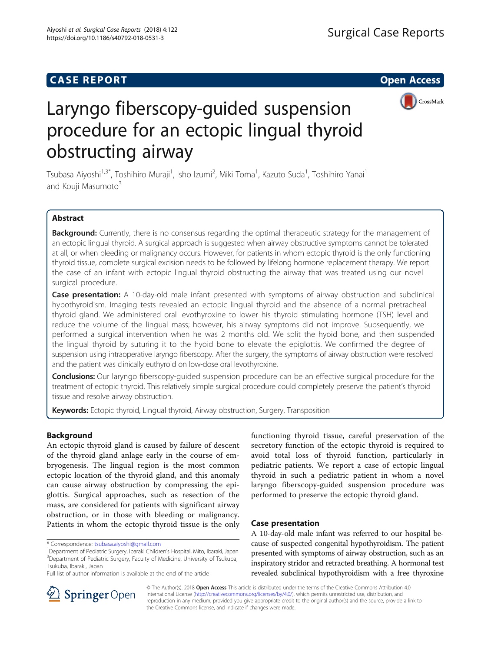## **CASE REPORT CASE REPORT CASE REPORT**



# Laryngo fiberscopy-guided suspension procedure for an ectopic lingual thyroid obstructing airway

Tsubasa Aiyoshi<sup>1,3\*</sup>, Toshihiro Muraji<sup>1</sup>, Isho Izumi<sup>2</sup>, Miki Toma<sup>1</sup>, Kazuto Suda<sup>1</sup>, Toshihiro Yanai<sup>1</sup> and Kouji Masumoto<sup>3</sup>

## Abstract

Background: Currently, there is no consensus regarding the optimal therapeutic strategy for the management of an ectopic lingual thyroid. A surgical approach is suggested when airway obstructive symptoms cannot be tolerated at all, or when bleeding or malignancy occurs. However, for patients in whom ectopic thyroid is the only functioning thyroid tissue, complete surgical excision needs to be followed by lifelong hormone replacement therapy. We report the case of an infant with ectopic lingual thyroid obstructing the airway that was treated using our novel surgical procedure.

Case presentation: A 10-day-old male infant presented with symptoms of airway obstruction and subclinical hypothyroidism. Imaging tests revealed an ectopic lingual thyroid and the absence of a normal pretracheal thyroid gland. We administered oral levothyroxine to lower his thyroid stimulating hormone (TSH) level and reduce the volume of the lingual mass; however, his airway symptoms did not improve. Subsequently, we performed a surgical intervention when he was 2 months old. We split the hyoid bone, and then suspended the lingual thyroid by suturing it to the hyoid bone to elevate the epiglottis. We confirmed the degree of suspension using intraoperative laryngo fiberscopy. After the surgery, the symptoms of airway obstruction were resolved and the patient was clinically euthyroid on low-dose oral levothyroxine.

Conclusions: Our laryngo fiberscopy-guided suspension procedure can be an effective surgical procedure for the treatment of ectopic thyroid. This relatively simple surgical procedure could completely preserve the patient's thyroid tissue and resolve airway obstruction.

**Keywords:** Ectopic thyroid, Lingual thyroid, Airway obstruction, Surgery, Transposition

## Background

An ectopic thyroid gland is caused by failure of descent of the thyroid gland anlage early in the course of embryogenesis. The lingual region is the most common ectopic location of the thyroid gland, and this anomaly can cause airway obstruction by compressing the epiglottis. Surgical approaches, such as resection of the mass, are considered for patients with significant airway obstruction, or in those with bleeding or malignancy. Patients in whom the ectopic thyroid tissue is the only functioning thyroid tissue, careful preservation of the secretory function of the ectopic thyroid is required to avoid total loss of thyroid function, particularly in pediatric patients. We report a case of ectopic lingual thyroid in such a pediatric patient in whom a novel laryngo fiberscopy-guided suspension procedure was performed to preserve the ectopic thyroid gland.

## Case presentation

A 10-day-old male infant was referred to our hospital because of suspected congenital hypothyroidism. The patient presented with symptoms of airway obstruction, such as an inspiratory stridor and retracted breathing. A hormonal test revealed subclinical hypothyroidism with a free thyroxine



© The Author(s). 2018 Open Access This article is distributed under the terms of the Creative Commons Attribution 4.0 International License ([http://creativecommons.org/licenses/by/4.0/\)](http://creativecommons.org/licenses/by/4.0/), which permits unrestricted use, distribution, and reproduction in any medium, provided you give appropriate credit to the original author(s) and the source, provide a link to the Creative Commons license, and indicate if changes were made.

<sup>\*</sup> Correspondence: [tsubasa.aiyoshi@gmail.com](mailto:tsubasa.aiyoshi@gmail.com) <sup>1</sup>

<sup>&</sup>lt;sup>1</sup>Department of Pediatric Surgery, Ibaraki Children's Hospital, Mito, Ibaraki, Japan <sup>3</sup>Department of Pediatric Surgery, Faculty of Medicine, University of Tsukuba, Tsukuba, Ibaraki, Japan

Full list of author information is available at the end of the article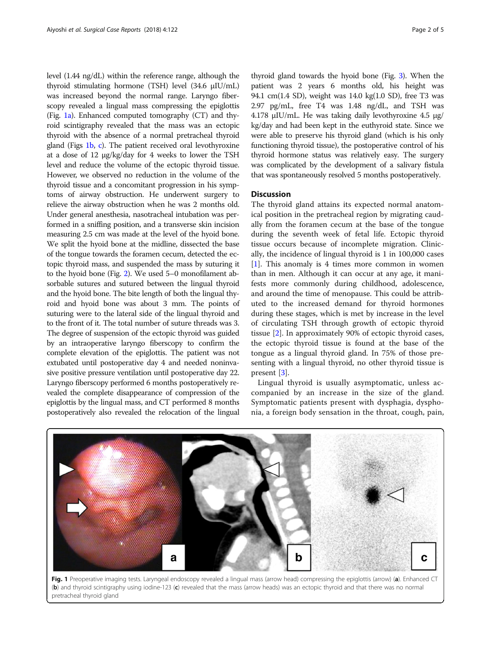level (1.44 ng/dL) within the reference range, although the thyroid stimulating hormone (TSH) level (34.6 μIU/mL) was increased beyond the normal range. Laryngo fiberscopy revealed a lingual mass compressing the epiglottis (Fig. 1a). Enhanced computed tomography (CT) and thyroid scintigraphy revealed that the mass was an ectopic thyroid with the absence of a normal pretracheal thyroid gland (Figs 1b, c). The patient received oral levothyroxine at a dose of 12 μg/kg/day for 4 weeks to lower the TSH level and reduce the volume of the ectopic thyroid tissue. However, we observed no reduction in the volume of the thyroid tissue and a concomitant progression in his symptoms of airway obstruction. He underwent surgery to relieve the airway obstruction when he was 2 months old. Under general anesthesia, nasotracheal intubation was performed in a sniffing position, and a transverse skin incision measuring 2.5 cm was made at the level of the hyoid bone. We split the hyoid bone at the midline, dissected the base of the tongue towards the foramen cecum, detected the ectopic thyroid mass, and suspended the mass by suturing it to the hyoid bone (Fig. [2\)](#page-2-0). We used 5–0 monofilament absorbable sutures and sutured between the lingual thyroid and the hyoid bone. The bite length of both the lingual thyroid and hyoid bone was about 3 mm. The points of suturing were to the lateral side of the lingual thyroid and to the front of it. The total number of suture threads was 3. The degree of suspension of the ectopic thyroid was guided by an intraoperative laryngo fiberscopy to confirm the complete elevation of the epiglottis. The patient was not extubated until postoperative day 4 and needed noninvasive positive pressure ventilation until postoperative day 22. Laryngo fiberscopy performed 6 months postoperatively revealed the complete disappearance of compression of the epiglottis by the lingual mass, and CT performed 8 months postoperatively also revealed the relocation of the lingual

thyroid gland towards the hyoid bone (Fig. [3\)](#page-2-0). When the patient was 2 years 6 months old, his height was 94.1 cm(1.4 SD), weight was 14.0 kg(1.0 SD), free T3 was 2.97 pg/mL, free T4 was 1.48 ng/dL, and TSH was 4.178 μIU/mL. He was taking daily levothyroxine 4.5 μg/ kg/day and had been kept in the euthyroid state. Since we were able to preserve his thyroid gland (which is his only functioning thyroid tissue), the postoperative control of his thyroid hormone status was relatively easy. The surgery was complicated by the development of a salivary fistula that was spontaneously resolved 5 months postoperatively.

## **Discussion**

The thyroid gland attains its expected normal anatomical position in the pretracheal region by migrating caudally from the foramen cecum at the base of the tongue during the seventh week of fetal life. Ectopic thyroid tissue occurs because of incomplete migration. Clinically, the incidence of lingual thyroid is 1 in 100,000 cases [[1\]](#page-3-0). This anomaly is 4 times more common in women than in men. Although it can occur at any age, it manifests more commonly during childhood, adolescence, and around the time of menopause. This could be attributed to the increased demand for thyroid hormones during these stages, which is met by increase in the level of circulating TSH through growth of ectopic thyroid tissue [[2\]](#page-3-0). In approximately 90% of ectopic thyroid cases, the ectopic thyroid tissue is found at the base of the tongue as a lingual thyroid gland. In 75% of those presenting with a lingual thyroid, no other thyroid tissue is present [[3\]](#page-3-0).

Lingual thyroid is usually asymptomatic, unless accompanied by an increase in the size of the gland. Symptomatic patients present with dysphagia, dysphonia, a foreign body sensation in the throat, cough, pain,



Fig. 1 Preoperative imaging tests. Laryngeal endoscopy revealed a lingual mass (arrow head) compressing the epiglottis (arrow) (a). Enhanced CT (b) and thyroid scintigraphy using iodine-123 (c) revealed that the mass (arrow heads) was an ectopic thyroid and that there was no normal pretracheal thyroid gland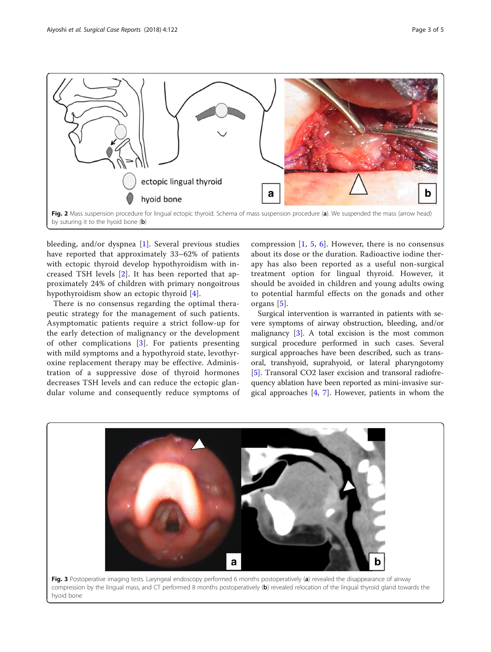

<span id="page-2-0"></span>

bleeding, and/or dyspnea [[1\]](#page-3-0). Several previous studies have reported that approximately 33–62% of patients with ectopic thyroid develop hypothyroidism with increased TSH levels [[2](#page-3-0)]. It has been reported that approximately 24% of children with primary nongoitrous hypothyroidism show an ectopic thyroid [\[4](#page-3-0)].

There is no consensus regarding the optimal therapeutic strategy for the management of such patients. Asymptomatic patients require a strict follow-up for the early detection of malignancy or the development of other complications [[3\]](#page-3-0). For patients presenting with mild symptoms and a hypothyroid state, levothyroxine replacement therapy may be effective. Administration of a suppressive dose of thyroid hormones decreases TSH levels and can reduce the ectopic glandular volume and consequently reduce symptoms of compression  $[1, 5, 6]$  $[1, 5, 6]$  $[1, 5, 6]$  $[1, 5, 6]$  $[1, 5, 6]$ . However, there is no consensus about its dose or the duration. Radioactive iodine therapy has also been reported as a useful non-surgical treatment option for lingual thyroid. However, it should be avoided in children and young adults owing to potential harmful effects on the gonads and other organs [\[5](#page-3-0)].

Surgical intervention is warranted in patients with severe symptoms of airway obstruction, bleeding, and/or malignancy [\[3](#page-3-0)]. A total excision is the most common surgical procedure performed in such cases. Several surgical approaches have been described, such as transoral, transhyoid, suprahyoid, or lateral pharyngotomy [[5\]](#page-3-0). Transoral CO2 laser excision and transoral radiofrequency ablation have been reported as mini-invasive surgical approaches  $[4, 7]$  $[4, 7]$  $[4, 7]$ . However, patients in whom the

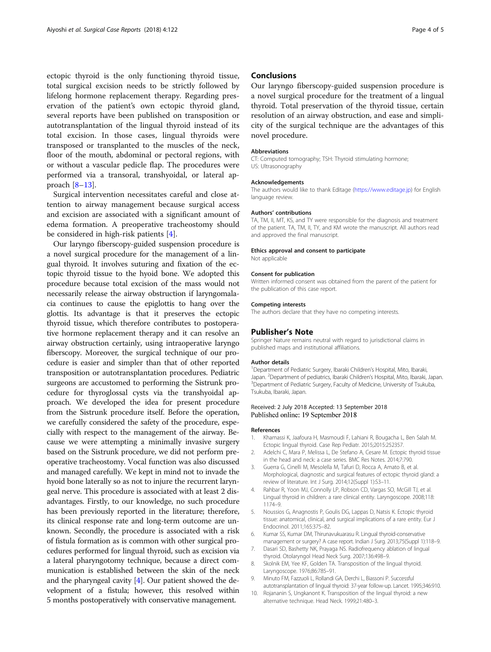<span id="page-3-0"></span>ectopic thyroid is the only functioning thyroid tissue, total surgical excision needs to be strictly followed by lifelong hormone replacement therapy. Regarding preservation of the patient's own ectopic thyroid gland, several reports have been published on transposition or autotransplantation of the lingual thyroid instead of its total excision. In those cases, lingual thyroids were transposed or transplanted to the muscles of the neck, floor of the mouth, abdominal or pectoral regions, with or without a vascular pedicle flap. The procedures were performed via a transoral, transhyoidal, or lateral approach [8–[13\]](#page-4-0).

Surgical intervention necessitates careful and close attention to airway management because surgical access and excision are associated with a significant amount of edema formation. A preoperative tracheostomy should be considered in high-risk patients [4].

Our laryngo fiberscopy-guided suspension procedure is a novel surgical procedure for the management of a lingual thyroid. It involves suturing and fixation of the ectopic thyroid tissue to the hyoid bone. We adopted this procedure because total excision of the mass would not necessarily release the airway obstruction if laryngomalacia continues to cause the epiglottis to hang over the glottis. Its advantage is that it preserves the ectopic thyroid tissue, which therefore contributes to postoperative hormone replacement therapy and it can resolve an airway obstruction certainly, using intraoperative laryngo fiberscopy. Moreover, the surgical technique of our procedure is easier and simpler than that of other reported transposition or autotransplantation procedures. Pediatric surgeons are accustomed to performing the Sistrunk procedure for thyroglossal cysts via the transhyoidal approach. We developed the idea for present procedure from the Sistrunk procedure itself. Before the operation, we carefully considered the safety of the procedure, especially with respect to the management of the airway. Because we were attempting a minimally invasive surgery based on the Sistrunk procedure, we did not perform preoperative tracheostomy. Vocal function was also discussed and managed carefully. We kept in mind not to invade the hyoid bone laterally so as not to injure the recurrent laryngeal nerve. This procedure is associated with at least 2 disadvantages. Firstly, to our knowledge, no such procedure has been previously reported in the literature; therefore, its clinical response rate and long-term outcome are unknown. Secondly, the procedure is associated with a risk of fistula formation as is common with other surgical procedures performed for lingual thyroid, such as excision via a lateral pharyngotomy technique, because a direct communication is established between the skin of the neck and the pharyngeal cavity  $[4]$ . Our patient showed the development of a fistula; however, this resolved within 5 months postoperatively with conservative management.

## **Conclusions**

Our laryngo fiberscopy-guided suspension procedure is a novel surgical procedure for the treatment of a lingual thyroid. Total preservation of the thyroid tissue, certain resolution of an airway obstruction, and ease and simplicity of the surgical technique are the advantages of this novel procedure.

#### Abbreviations

CT: Computed tomography; TSH: Thyroid stimulating hormone; US: Ultrasonography

#### Acknowledgements

The authors would like to thank Editage [\(https://www.editage.jp\)](https://www.editage.jp) for English language review.

#### Authors' contributions

TA, TM, II, MT, KS, and TY were responsible for the diagnosis and treatment of the patient. TA, TM, II, TY, and KM wrote the manuscript. All authors read and approved the final manuscript.

#### Ethics approval and consent to participate

Not applicable

#### Consent for publication

Written informed consent was obtained from the parent of the patient for the publication of this case report.

#### Competing interests

The authors declare that they have no competing interests.

#### Publisher's Note

Springer Nature remains neutral with regard to jurisdictional claims in published maps and institutional affiliations.

#### Author details

<sup>1</sup> Department of Pediatric Surgery, Ibaraki Children's Hospital, Mito, Ibaraki Japan. <sup>2</sup> Department of pediatrics, Ibaraki Children's Hospital, Mito, Ibaraki, Japan.<br><sup>3</sup> Department of Pediatric Surgens, Facults of Medicine, University of Trukuba. <sup>3</sup>Department of Pediatric Surgery, Faculty of Medicine, University of Tsukuba, Tsukuba, Ibaraki, Japan.

#### Received: 2 July 2018 Accepted: 13 September 2018 Published online: 19 September 2018

#### References

- 1. Khamassi K, Jaafoura H, Masmoudi F, Lahiani R, Bougacha L, Ben Salah M. Ectopic lingual thyroid. Case Rep Pediatr. 2015;2015:252357.
- 2. Adelchi C, Mara P, Melissa L, De Stefano A, Cesare M. Ectopic thyroid tissue in the head and neck: a case series. BMC Res Notes. 2014;7:790.
- 3. Guerra G, Cinelli M, Mesolella M, Tafuri D, Rocca A, Amato B, et al. Morphological, diagnostic and surgical features of ectopic thyroid gland: a review of literature. Int J Surg. 2014;12(Suppl 1):S3–11.
- 4. Rahbar R, Yoon MJ, Connolly LP, Robson CD, Vargas SO, McGill TJ, et al. Lingual thyroid in children: a rare clinical entity. Laryngoscope. 2008;118: 1174–9.
- 5. Noussios G, Anagnostis P, Goulis DG, Lappas D, Natsis K. Ectopic thyroid tissue: anatomical, clinical, and surgical implications of a rare entity. Eur J Endocrinol. 2011;165:375–82.
- Kumar SS, Kumar DM, Thirunavukuarasu R. Lingual thyroid-conservative management or surgery? A case report. Indian J Surg. 2013;75(Suppl 1):118–9.
- 7. Dasari SD, Bashetty NK, Prayaga NS. Radiofrequency ablation of lingual thyroid. Otolaryngol Head Neck Surg. 2007;136:498–9.
- 8. Skolnik EM, Yee KF, Golden TA. Transposition of the lingual thyroid. Laryngoscope. 1976;86:785–91.
- 9. Minuto FM, Fazzuoli L, Rollandi GA, Derchi L, Biassoni P. Successful autotransplantation of lingual thyroid: 37-year follow-up. Lancet. 1995;346:910.
- 10. Rojananin S, Ungkanont K. Transposition of the lingual thyroid: a new alternative technique. Head Neck. 1999;21:480–3.